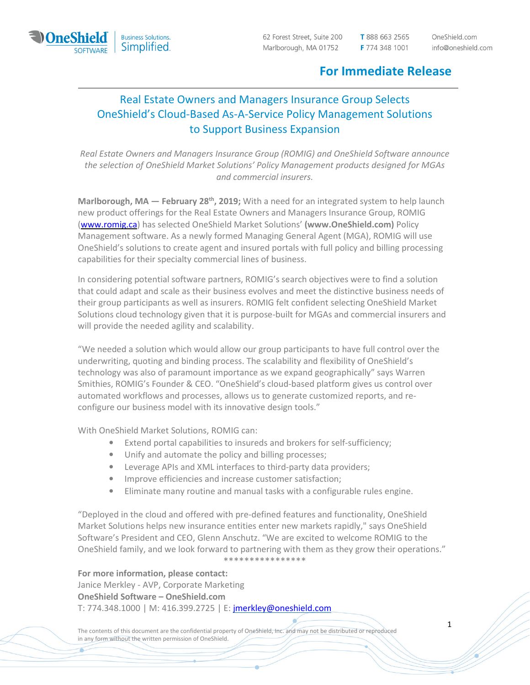

## For Immediate Release

## Real Estate Owners and Managers Insurance Group Selects OneShield's Cloud-Based As-A-Service Policy Management Solutions to Support Business Expansion

Real Estate Owners and Managers Insurance Group (ROMIG) and OneShield Software announce the selection of OneShield Market Solutions' Policy Management products designed for MGAs and commercial insurers.

Marlborough, MA  $-$  February 28<sup>th</sup>, 2019; With a need for an integrated system to help launch new product offerings for the Real Estate Owners and Managers Insurance Group, ROMIG (www.romig.ca) has selected OneShield Market Solutions' (www.OneShield.com) Policy Management software. As a newly formed Managing General Agent (MGA), ROMIG will use OneShield's solutions to create agent and insured portals with full policy and billing processing capabilities for their specialty commercial lines of business.

In considering potential software partners, ROMIG's search objectives were to find a solution that could adapt and scale as their business evolves and meet the distinctive business needs of their group participants as well as insurers. ROMIG felt confident selecting OneShield Market Solutions cloud technology given that it is purpose-built for MGAs and commercial insurers and will provide the needed agility and scalability.

"We needed a solution which would allow our group participants to have full control over the underwriting, quoting and binding process. The scalability and flexibility of OneShield's technology was also of paramount importance as we expand geographically" says Warren Smithies, ROMIG's Founder & CEO. "OneShield's cloud-based platform gives us control over automated workflows and processes, allows us to generate customized reports, and reconfigure our business model with its innovative design tools."

With OneShield Market Solutions, ROMIG can:

ಕ

- Extend portal capabilities to insureds and brokers for self-sufficiency;
- Unify and automate the policy and billing processes;
- Leverage APIs and XML interfaces to third-party data providers;
- Improve efficiencies and increase customer satisfaction;
- Eliminate many routine and manual tasks with a configurable rules engine.

"Deployed in the cloud and offered with pre-defined features and functionality, OneShield Market Solutions helps new insurance entities enter new markets rapidly," says OneShield Software's President and CEO, Glenn Anschutz. "We are excited to welcome ROMIG to the OneShield family, and we look forward to partnering with them as they grow their operations." \*\*\*\*\*\*\*\*\*\*\*\*\*\*\*\*

For more information, please contact: Janice Merkley - AVP, Corporate Marketing OneShield Software – OneShield.com T: 774.348.1000 | M: 416.399.2725 | E: jmerkley@oneshield.com

The contents of this document are the confidential property of OneShield, Inc. and may not be distributed or reproduced in any form without the written permission of OneShield.

1